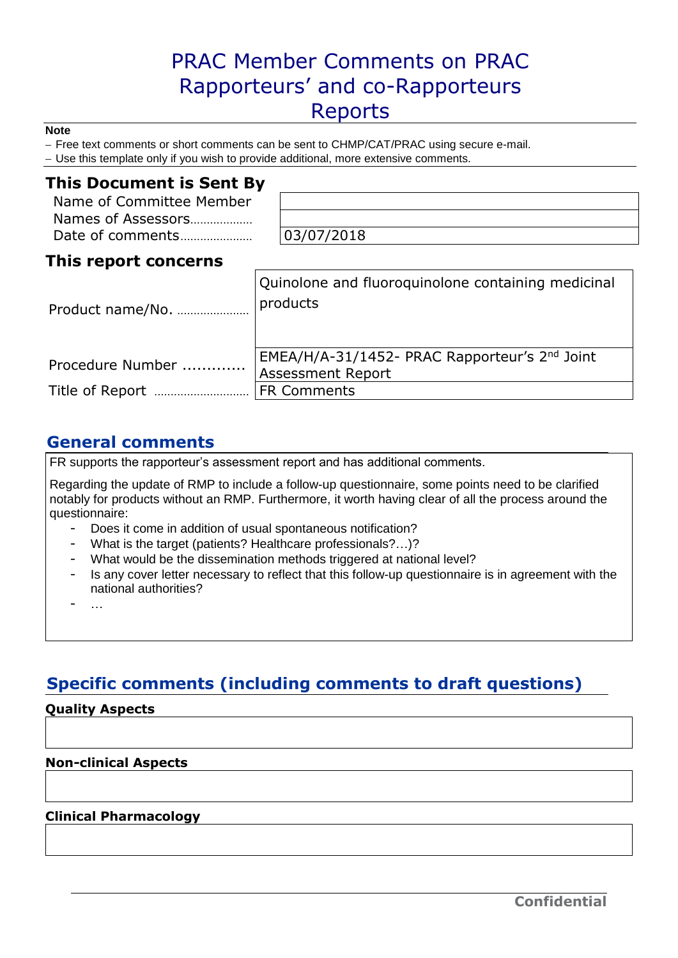# PRAC Member Comments on PRAC Rapporteurs' and co-Rapporteurs Reports

#### **Note**

- Free text comments or short comments can be sent to CHMP/CAT/PRAC using secure e-mail.

- Use this template only if you wish to provide additional, more extensive comments.

### **This Document is Sent By**

| Name of Committee Member |
|--------------------------|
| Names of Assessors       |
| Date of comments         |

03/07/2018

# **This report concerns**

| Product name/No. | Quinolone and fluoroquinolone containing medicinal<br>products            |
|------------------|---------------------------------------------------------------------------|
| Procedure Number | EMEA/H/A-31/1452- PRAC Rapporteur's 2nd Joint<br><b>Assessment Report</b> |
|                  | <b>FR Comments</b>                                                        |

## **General comments**

FR supports the rapporteur's assessment report and has additional comments.

Regarding the update of RMP to include a follow-up questionnaire, some points need to be clarified notably for products without an RMP. Furthermore, it worth having clear of all the process around the questionnaire:

- Does it come in addition of usual spontaneous notification?
- What is the target (patients? Healthcare professionals?…)?
- What would be the dissemination methods triggered at national level?
- Is any cover letter necessary to reflect that this follow-up questionnaire is in agreement with the national authorities?

- …

# **Specific comments (including comments to draft questions)**

### **Quality Aspects**

### **Non-clinical Aspects**

### **Clinical Pharmacology**